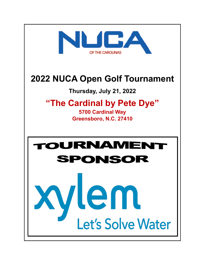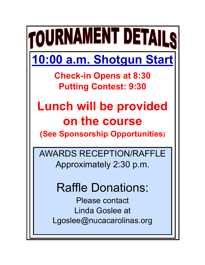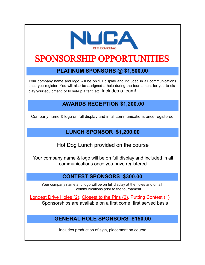

# SPONSORSHIP OPPORTUNI

### **PLATINUM SPONSORS @ \$1,500.00**

Your company name and logo will be on full display and included in all communications once you register. You will also be assigned a hole during the tournament for you to display your equipment, or to set-up a tent, etc. Includes a team!

### **AWARDS RECEPTION \$1,200.00**

Company name & logo on full display and in all communications once registered.

### **LUNCH SPONSOR \$1,200.00**

Hot Dog Lunch provided on the course

Your company name & logo will be on full display and included in all communications once you have registered

#### **CONTEST SPONSORS \$300.00**

 Your company name and logo will be on full display at the holes and on all communications prior to the tournament

Longest Drive Holes (2), Closest to the Pins (2), Putting Contest (1) Sponsorships are available on a first come, first served basis

#### **GENERAL HOLE SPONSORS \$150.00**

Includes production of sign, placement on course.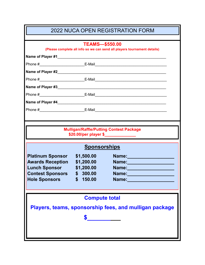| <b>2022 NUCA OPEN REGISTRATION FORM</b>                                                           |                      |                                                                                                                       |  |  |
|---------------------------------------------------------------------------------------------------|----------------------|-----------------------------------------------------------------------------------------------------------------------|--|--|
|                                                                                                   |                      |                                                                                                                       |  |  |
| <b>TEAMS-\$550.00</b><br>(Please complete all info so we can send all players tournament details) |                      |                                                                                                                       |  |  |
|                                                                                                   |                      |                                                                                                                       |  |  |
|                                                                                                   |                      |                                                                                                                       |  |  |
|                                                                                                   |                      |                                                                                                                       |  |  |
|                                                                                                   |                      |                                                                                                                       |  |  |
|                                                                                                   |                      |                                                                                                                       |  |  |
|                                                                                                   |                      |                                                                                                                       |  |  |
| Name of Player #4                                                                                 |                      | <u> 1989 - Jan Sterlinger, skriuwer fan it ferskearre fan de Amerikaanske komme fan it ferskearre fan it ferskear</u> |  |  |
|                                                                                                   |                      |                                                                                                                       |  |  |
|                                                                                                   |                      |                                                                                                                       |  |  |
|                                                                                                   |                      |                                                                                                                       |  |  |
| <b>Mulligan/Raffle/Putting Contest Package</b>                                                    |                      |                                                                                                                       |  |  |
| \$20.00/per player \$_______________                                                              |                      |                                                                                                                       |  |  |
| <b>Sponsorships</b>                                                                               |                      |                                                                                                                       |  |  |
| <b>Platinum Sponsor</b>                                                                           | \$1,500.00           | Name: 2008                                                                                                            |  |  |
| <b>Awards Reception</b>                                                                           | \$1,200.00           | Name: 1999 - 1999 - 1999 - 1999 - 1999 - 1999 - 1999 - 1999 - 1999 - 1999 - 1999 - 1999 - 1999 - 1999 - 1999 -        |  |  |
| <b>Lunch Sponsor</b>                                                                              | \$1,200.00           |                                                                                                                       |  |  |
| <b>Contest Sponsors</b><br><b>Hole Sponsors</b>                                                   | \$300.00<br>\$150.00 | Name:<br>Name:                                                                                                        |  |  |
|                                                                                                   |                      |                                                                                                                       |  |  |
|                                                                                                   |                      |                                                                                                                       |  |  |
| <b>Compute total</b>                                                                              |                      |                                                                                                                       |  |  |
| Players, teams, sponsorship fees, and mulligan package                                            |                      |                                                                                                                       |  |  |
|                                                                                                   |                      |                                                                                                                       |  |  |
|                                                                                                   |                      |                                                                                                                       |  |  |
|                                                                                                   |                      |                                                                                                                       |  |  |
|                                                                                                   |                      |                                                                                                                       |  |  |